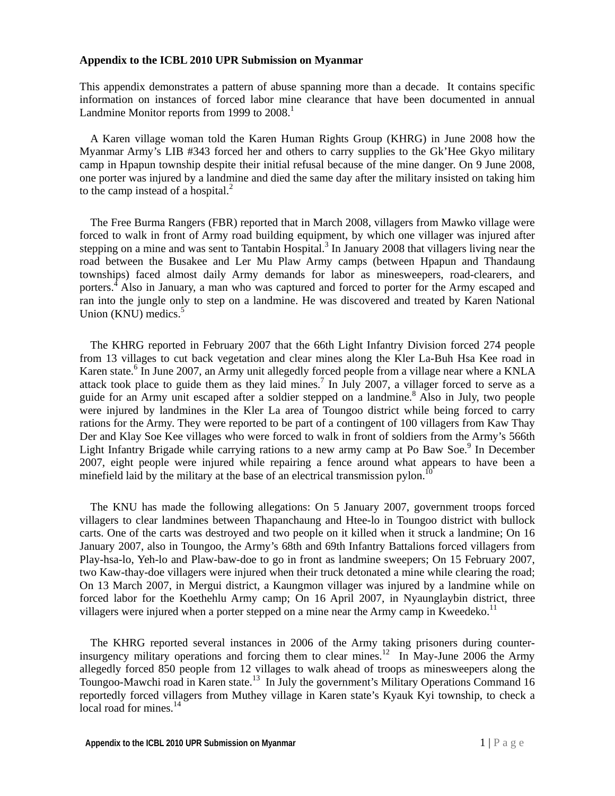## **Appendix to the ICBL 2010 UPR Submission on Myanmar**

This appendix demonstrates a pattern of abuse spanning more than a decade. It contains specific information on instances of forced labor mine clearance that have been documented in annual Landmine Monitor reports from 1999 to 2008.<sup>1</sup>

A Karen village woman told the Karen Human Rights Group (KHRG) in June 2008 how the Myanmar Army's LIB #343 forced her and others to carry supplies to the Gk'Hee Gkyo military camp in Hpapun township despite their initial refusal because of the mine danger. On 9 June 2008, one porter was injured by a landmine and died the same day after the military insisted on taking him to the camp instead of a hospital.<sup>2</sup>

The Free Burma Rangers (FBR) reported that in March 2008, villagers from Mawko village were forced to walk in front of Army road building equipment, by which one villager was injured after stepping on a mine and was sent to Tantabin Hospital.<sup>3</sup> In January 2008 that villagers living near the road between the Busakee and Ler Mu Plaw Army camps (between Hpapun and Thandaung townships) faced almost daily Army demands for labor as minesweepers, road-clearers, and porters.<sup>4</sup> Also in January, a man who was captured and forced to porter for the Army escaped and ran into the jungle only to step on a landmine. He was discovered and treated by Karen National Union  $(KNU)$  medics.<sup>5</sup>

The KHRG reported in February 2007 that the 66th Light Infantry Division forced 274 people from 13 villages to cut back vegetation and clear mines along the Kler La-Buh Hsa Kee road in Karen state.<sup>6</sup> In June 2007, an Army unit allegedly forced people from a village near where a KNLA attack took place to guide them as they laid mines.<sup>7</sup> In July 2007, a villager forced to serve as a guide for an Army unit escaped after a soldier stepped on a landmine.<sup>8</sup> Also in July, two people were injured by landmines in the Kler La area of Toungoo district while being forced to carry rations for the Army. They were reported to be part of a contingent of 100 villagers from Kaw Thay Der and Klay Soe Kee villages who were forced to walk in front of soldiers from the Army's 566th Light Infantry Brigade while carrying rations to a new army camp at Po Baw Soe.<sup>9</sup> In December 2007, eight people were injured while repairing a fence around what appears to have been a minefield laid by the military at the base of an electrical transmission pylon.<sup>1</sup>

The KNU has made the following allegations: On 5 January 2007, government troops forced villagers to clear landmines between Thapanchaung and Htee-lo in Toungoo district with bullock carts. One of the carts was destroyed and two people on it killed when it struck a landmine; On 16 January 2007, also in Toungoo, the Army's 68th and 69th Infantry Battalions forced villagers from Play-hsa-lo, Yeh-lo and Plaw-baw-doe to go in front as landmine sweepers; On 15 February 2007, two Kaw-thay-doe villagers were injured when their truck detonated a mine while clearing the road; On 13 March 2007, in Mergui district, a Kaungmon villager was injured by a landmine while on forced labor for the Koethehlu Army camp; On 16 April 2007, in Nyaunglaybin district, three villagers were injured when a porter stepped on a mine near the Army camp in Kweedeko.<sup>11</sup>

The KHRG reported several instances in 2006 of the Army taking prisoners during counterinsurgency military operations and forcing them to clear mines.<sup>12</sup> In May-June 2006 the Army allegedly forced 850 people from 12 villages to walk ahead of troops as minesweepers along the Toungoo-Mawchi road in Karen state.<sup>13</sup> In July the government's Military Operations Command 16 reportedly forced villagers from Muthey village in Karen state's Kyauk Kyi township, to check a local road for mines.<sup>14</sup>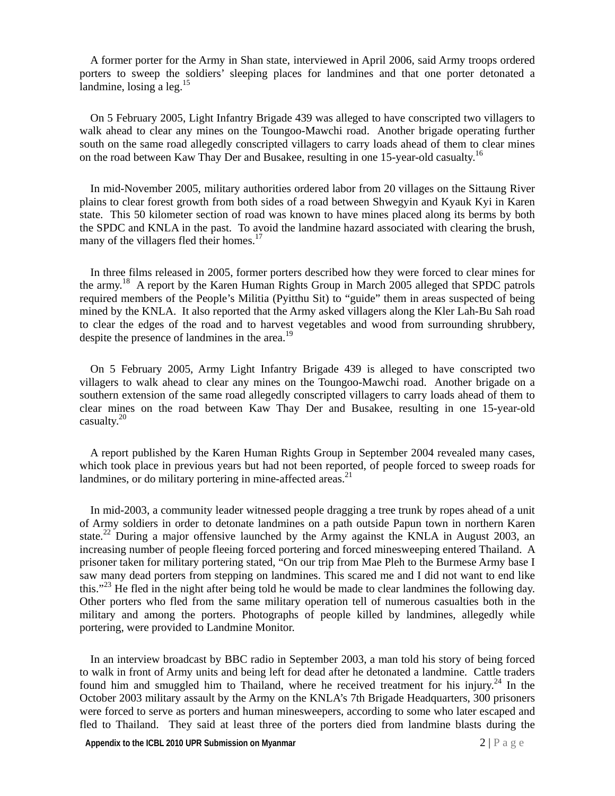A former porter for the Army in Shan state, interviewed in April 2006, said Army troops ordered porters to sweep the soldiers' sleeping places for landmines and that one porter detonated a landmine, losing a  $leg.^{15}$ 

On 5 February 2005, Light Infantry Brigade 439 was alleged to have conscripted two villagers to walk ahead to clear any mines on the Toungoo-Mawchi road. Another brigade operating further south on the same road allegedly conscripted villagers to carry loads ahead of them to clear mines on the road between Kaw Thay Der and Busakee, resulting in one 15-year-old casualty.<sup>16</sup>

In mid-November 2005, military authorities ordered labor from 20 villages on the Sittaung River plains to clear forest growth from both sides of a road between Shwegyin and Kyauk Kyi in Karen state. This 50 kilometer section of road was known to have mines placed along its berms by both the SPDC and KNLA in the past. To avoid the landmine hazard associated with clearing the brush, many of the villagers fled their homes.<sup>17</sup>

In three films released in 2005, former porters described how they were forced to clear mines for the army.<sup>18</sup> A report by the Karen Human Rights Group in March 2005 alleged that SPDC patrols required members of the People's Militia (Pyitthu Sit) to "guide" them in areas suspected of being mined by the KNLA. It also reported that the Army asked villagers along the Kler Lah-Bu Sah road to clear the edges of the road and to harvest vegetables and wood from surrounding shrubbery, despite the presence of landmines in the area.<sup>19</sup>

On 5 February 2005, Army Light Infantry Brigade 439 is alleged to have conscripted two villagers to walk ahead to clear any mines on the Toungoo-Mawchi road. Another brigade on a southern extension of the same road allegedly conscripted villagers to carry loads ahead of them to clear mines on the road between Kaw Thay Der and Busakee, resulting in one 15-year-old casualty. $20$ 

A report published by the Karen Human Rights Group in September 2004 revealed many cases, which took place in previous years but had not been reported, of people forced to sweep roads for landmines, or do military portering in mine-affected areas.<sup>21</sup>

In mid-2003, a community leader witnessed people dragging a tree trunk by ropes ahead of a unit of Army soldiers in order to detonate landmines on a path outside Papun town in northern Karen state.<sup>22</sup> During a major offensive launched by the Army against the KNLA in August 2003, an increasing number of people fleeing forced portering and forced minesweeping entered Thailand. A prisoner taken for military portering stated, "On our trip from Mae Pleh to the Burmese Army base I saw many dead porters from stepping on landmines. This scared me and I did not want to end like this."<sup>23</sup> He fled in the night after being told he would be made to clear landmines the following day. Other porters who fled from the same military operation tell of numerous casualties both in the military and among the porters. Photographs of people killed by landmines, allegedly while portering, were provided to Landmine Monitor.

In an interview broadcast by BBC radio in September 2003, a man told his story of being forced to walk in front of Army units and being left for dead after he detonated a landmine. Cattle traders found him and smuggled him to Thailand, where he received treatment for his injury.<sup>24</sup> In the October 2003 military assault by the Army on the KNLA's 7th Brigade Headquarters, 300 prisoners were forced to serve as porters and human minesweepers, according to some who later escaped and fled to Thailand. They said at least three of the porters died from landmine blasts during the

**Appendix to the ICBL 2010 UPR Submission on Myanmar** 2 | P a g e 2 | P a g e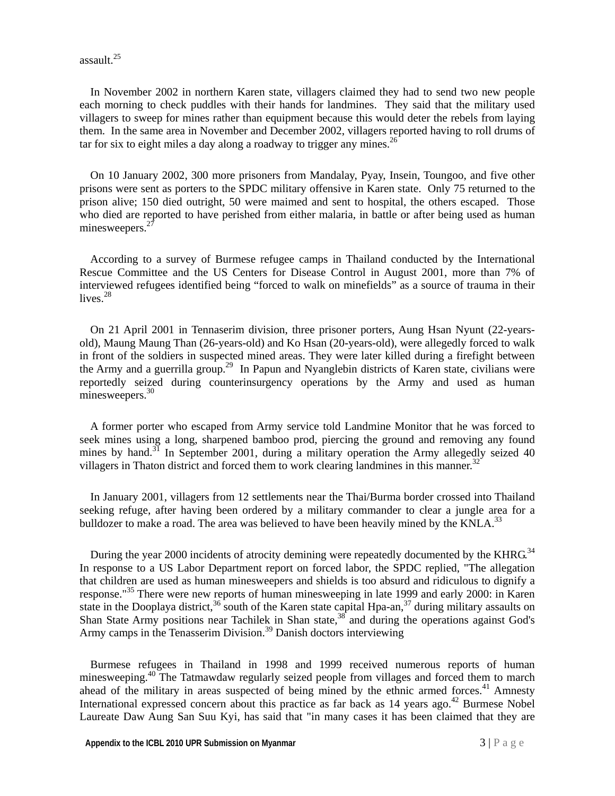assault.25

In November 2002 in northern Karen state, villagers claimed they had to send two new people each morning to check puddles with their hands for landmines. They said that the military used villagers to sweep for mines rather than equipment because this would deter the rebels from laying them. In the same area in November and December 2002, villagers reported having to roll drums of tar for six to eight miles a day along a roadway to trigger any mines.<sup>26</sup>

On 10 January 2002, 300 more prisoners from Mandalay, Pyay, Insein, Toungoo, and five other prisons were sent as porters to the SPDC military offensive in Karen state. Only 75 returned to the prison alive; 150 died outright, 50 were maimed and sent to hospital, the others escaped. Those who died are reported to have perished from either malaria, in battle or after being used as human minesweepers. $^{27}$ 

According to a survey of Burmese refugee camps in Thailand conducted by the International Rescue Committee and the US Centers for Disease Control in August 2001, more than 7% of interviewed refugees identified being "forced to walk on minefields" as a source of trauma in their lives. $28$ 

On 21 April 2001 in Tennaserim division, three prisoner porters, Aung Hsan Nyunt (22-yearsold), Maung Maung Than (26-years-old) and Ko Hsan (20-years-old), were allegedly forced to walk in front of the soldiers in suspected mined areas. They were later killed during a firefight between the Army and a guerrilla group.<sup>29</sup> In Papun and Nyanglebin districts of Karen state, civilians were reportedly seized during counterinsurgency operations by the Army and used as human minesweepers.<sup>30</sup>

A former porter who escaped from Army service told Landmine Monitor that he was forced to seek mines using a long, sharpened bamboo prod, piercing the ground and removing any found mines by hand.<sup>31</sup> In September 2001, during a military operation the Army allegedly seized 40 villagers in Thaton district and forced them to work clearing landmines in this manner.<sup>32</sup>

In January 2001, villagers from 12 settlements near the Thai/Burma border crossed into Thailand seeking refuge, after having been ordered by a military commander to clear a jungle area for a bulldozer to make a road. The area was believed to have been heavily mined by the KNLA.<sup>33</sup>

During the year 2000 incidents of atrocity demining were repeatedly documented by the KHRG.<sup>34</sup> In response to a US Labor Department report on forced labor, the SPDC replied, "The allegation that children are used as human minesweepers and shields is too absurd and ridiculous to dignify a response."<sup>35</sup> There were new reports of human minesweeping in late 1999 and early 2000: in Karen state in the Dooplaya district,<sup>36</sup> south of the Karen state capital Hpa-an,<sup>37</sup> during military assaults on Shan State Army positions near Tachilek in Shan state,<sup>38</sup> and during the operations against God's Army camps in the Tenasserim Division.<sup>39</sup> Danish doctors interviewing

Burmese refugees in Thailand in 1998 and 1999 received numerous reports of human minesweeping.<sup>40</sup> The Tatmawdaw regularly seized people from villages and forced them to march ahead of the military in areas suspected of being mined by the ethnic armed forces. $41$  Amnesty International expressed concern about this practice as far back as 14 years ago.<sup>42</sup> Burmese Nobel Laureate Daw Aung San Suu Kyi, has said that "in many cases it has been claimed that they are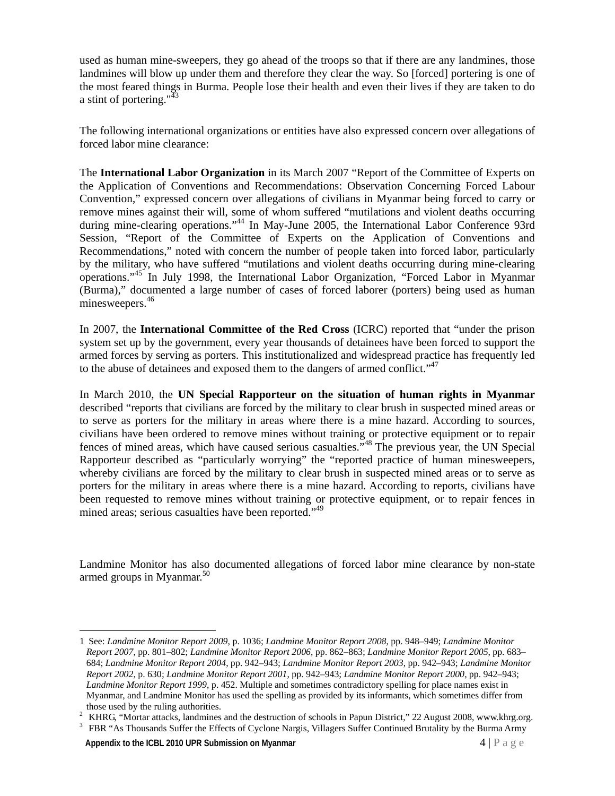used as human mine-sweepers, they go ahead of the troops so that if there are any landmines, those landmines will blow up under them and therefore they clear the way. So [forced] portering is one of the most feared things in Burma. People lose their health and even their lives if they are taken to do a stint of portering."<sup>43</sup>

The following international organizations or entities have also expressed concern over allegations of forced labor mine clearance:

The **International Labor Organization** in its March 2007 "Report of the Committee of Experts on the Application of Conventions and Recommendations: Observation Concerning Forced Labour Convention," expressed concern over allegations of civilians in Myanmar being forced to carry or remove mines against their will, some of whom suffered "mutilations and violent deaths occurring during mine-clearing operations."<sup>44</sup> In May-June 2005, the International Labor Conference 93rd Session, "Report of the Committee of Experts on the Application of Conventions and Recommendations," noted with concern the number of people taken into forced labor, particularly by the military, who have suffered "mutilations and violent deaths occurring during mine-clearing operations."45 In July 1998, the International Labor Organization, "Forced Labor in Myanmar (Burma)," documented a large number of cases of forced laborer (porters) being used as human minesweepers.<sup>46</sup>

In 2007, the **International Committee of the Red Cross** (ICRC) reported that "under the prison system set up by the government, every year thousands of detainees have been forced to support the armed forces by serving as porters. This institutionalized and widespread practice has frequently led to the abuse of detainees and exposed them to the dangers of armed conflict." $47$ 

In March 2010, the **UN Special Rapporteur on the situation of human rights in Myanmar** described "reports that civilians are forced by the military to clear brush in suspected mined areas or to serve as porters for the military in areas where there is a mine hazard. According to sources, civilians have been ordered to remove mines without training or protective equipment or to repair fences of mined areas, which have caused serious casualties."48 The previous year, the UN Special Rapporteur described as "particularly worrying" the "reported practice of human minesweepers, whereby civilians are forced by the military to clear brush in suspected mined areas or to serve as porters for the military in areas where there is a mine hazard. According to reports, civilians have been requested to remove mines without training or protective equipment, or to repair fences in mined areas; serious casualties have been reported."<sup>49</sup>

Landmine Monitor has also documented allegations of forced labor mine clearance by non-state armed groups in Myanmar. $50$ 

<sup>3</sup> FBR "As Thousands Suffer the Effects of Cyclone Nargis, Villagers Suffer Continued Brutality by the Burma Army

**Appendix to the ICBL 2010 UPR Submission on Myanmar 4 | P** a g e  $\frac{4}{5}$ 

 $\overline{a}$ 

<sup>1</sup> See: *Landmine Monitor Report 2009*, p. 1036; *Landmine Monitor Report 2008*, pp. 948–949; *Landmine Monitor Report 2007*, pp. 801–802; *Landmine Monitor Report 2006*, pp. 862–863; *Landmine Monitor Report 2005*, pp. 683– 684; *Landmine Monitor Report 2004*, pp. 942–943; *Landmine Monitor Report 2003*, pp. 942–943; *Landmine Monitor Report 2002*, p. 630; *Landmine Monitor Report 2001*, pp. 942–943; *Landmine Monitor Report 2000*, pp. 942–943; *Landmine Monitor Report 1999*, p. 452. Multiple and sometimes contradictory spelling for place names exist in Myanmar, and Landmine Monitor has used the spelling as provided by its informants, which sometimes differ from those used by the ruling authorities. 2

KHRG, "Mortar attacks, landmines and the destruction of schools in Papun District," 22 August 2008, www.khrg.org.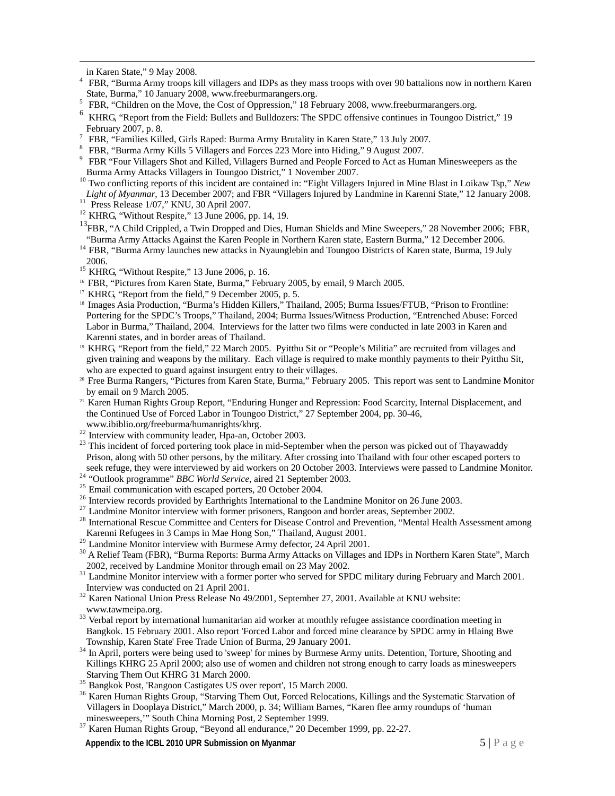in Karen State," 9 May 2008. 4

- <sup>4</sup> FBR. "Burma Army troops kill villagers and IDPs as they mass troops with over 90 battalions now in northern Karen State, Burma," 10 January 2008, www.freeburmarangers.org.<br> $5$  EPP "Children on the Move, the Cost of Oppression" 18 Fe
- FBR, "Children on the Move, the Cost of Oppression," 18 February 2008, www.freeburmarangers.org.
- 6 KHRG, "Report from the Field: Bullets and Bulldozers: The SPDC offensive continues in Toungoo District," 19 February 2007, p. 8. 7
- FBR, "Families Killed, Girls Raped: Burma Army Brutality in Karen State," 13 July 2007.
- 8 FBR, "Burma Army Kills 5 Villagers and Forces 223 More into Hiding," 9 August 2007.
- <sup>9</sup> FBR "Four Villagers Shot and Killed, Villagers Burned and People Forced to Act as Human Minesweepers as the
- Burma Army Attacks Villagers in Toungoo District," 1 November 2007.<br><sup>10</sup> Two conflicting reports of this incident are contained in: "Eight Villagers Injured in Mine Blast in Loikaw Tsp," *New*
- *Light of Myanmar*, 13 December 2007; and FBR "Villagers Injured by Landmine in Karenni State," 12 January 2008.<br><sup>11</sup> Press Release 1/07," KNU, 30 April 2007.
- 
- $12$  KHRG, "Without Respite," 13 June 2006, pp. 14, 19.
- <sup>13</sup>FBR, "A Child Crippled, a Twin Dropped and Dies, Human Shields and Mine Sweepers," 28 November 2006; FBR, "Burma Army Attacks Against the Karen People in Northern Karen state, Eastern Burma," 12 December 2006. 14 FBR, "Burma Army launches new attacks in Nyaunglebin and Toungoo Districts of Karen state, Burma, 19 July
- 2006.<br><sup>15</sup> KHRG, "Without Respite," 13 June 2006, p. 16.<br><sup>16</sup> FBR, "Pictures from Karen State, Burma," February 2005, by email, 9 March 2005.
- 
- 
- 
- <sup>17</sup> KHRG, "Report from the field," 9 December 2005, p. 5.<br><sup>18</sup> Images Asia Production, "Burma's Hidden Killers," Thailand, 2005; Burma Issues/FTUB, "Prison to Frontline: Portering for the SPDC's Troops," Thailand, 2004; Burma Issues/Witness Production, "Entrenched Abuse: Forced Labor in Burma," Thailand, 2004. Interviews for the latter two films were conducted in late 2003 in Karen and Karenni states, and in border areas of Thailand.
- 19 KHRG, "Report from the field," 22 March 2005. Pyitthu Sit or "People's Militia" are recruited from villages and given training and weapons by the military. Each village is required to make monthly payments to their Pyitthu Sit, who are expected to guard against insurgent entry to their villages.
- 20 Free Burma Rangers, "Pictures from Karen State, Burma," February 2005. This report was sent to Landmine Monitor by email on 9 March 2005.
- <sup>21</sup> Karen Human Rights Group Report, "Enduring Hunger and Repression: Food Scarcity, Internal Displacement, and the Continued Use of Forced Labor in Toungoo District," 27 September 2004, pp. 30-46,
- www.ibiblio.org/freeburma/humanrights/khrg. 22 Interview with community leader, Hpa-an, October 2003.
- <sup>23</sup> This incident of forced portering took place in mid-September when the person was picked out of Thayawaddy Prison, along with 50 other persons, by the military. After crossing into Thailand with four other escaped porters to seek refuge, they were interviewed by aid workers on 20 October 2003. Interviews were passed to Landmine
- 
- <sup>24</sup> "Outlook programme" *BBC World Service*, aired 21 September 2003.<br><sup>25</sup> Email communication with escaped porters, 20 October 2004.
- <sup>26</sup> Interview records provided by Earthrights International to the Landmine Monitor on 26 June 2003.
- $27$  Landmine Monitor interview with former prisoners, Rangoon and border areas, September 2002.
- <sup>28</sup> International Rescue Committee and Centers for Disease Control and Prevention, "Mental Health Assessment among
- Karenni Refugees in 3 Camps in Mae Hong Son," Thailand, August 2001.<br><sup>29</sup> Landmine Monitor interview with Burmese Army defector, 24 April 2001.
- <sup>30</sup> A Relief Team (FBR), "Burma Reports: Burma Army Attacks on Villages and IDPs in Northern Karen State", March
- 2002, received by Landmine Monitor through email on 23 May 2002. 31 Landmine Monitor interview with a former porter who served for SPDC military during February and March 2001. Interview was conducted on 21 April 2001.<br><sup>32</sup> Karen National Union Press Release No 49/2001, September 27, 2001. Available at KNU website:
- 
- www.tawmeipa.org.<br><sup>33</sup> Verbal report by international humanitarian aid worker at monthly refugee assistance coordination meeting in Bangkok. 15 February 2001. Also report 'Forced Labor and forced mine clearance by SPDC army in Hlaing Bwe
- Township, Karen State' Free Trade Union of Burma, 29 January 2001.<br><sup>34</sup> In April, porters were being used to 'sweep' for mines by Burmese Army units. Detention, Torture, Shooting and Killings KHRG 25 April 2000; also use of women and children not strong enough to carry loads as minesweepers Starving Them Out KHRG 31 March 2000.
- Starving Them Out KHRS 31 March 2000.<br><sup>35</sup> Bangkok Post, 'Rangoon Castigates US over report', 15 March 2000.
- <sup>36</sup> Karen Human Rights Group, "Starving Them Out, Forced Relocations, Killings and the Systematic Starvation of Villagers in Dooplaya District," March 2000, p. 34; William Barnes, "Karen flee army roundups of 'human
- $37$  Karen Human Rights Group, "Beyond all endurance," 20 December 1999, pp. 22-27.
- **Appendix to the ICBL 2010 UPR Submission on Myanmar 5 | Page 2012 12:33 Appendix to the ICBL 2010 UPR Submission on Myanmar**